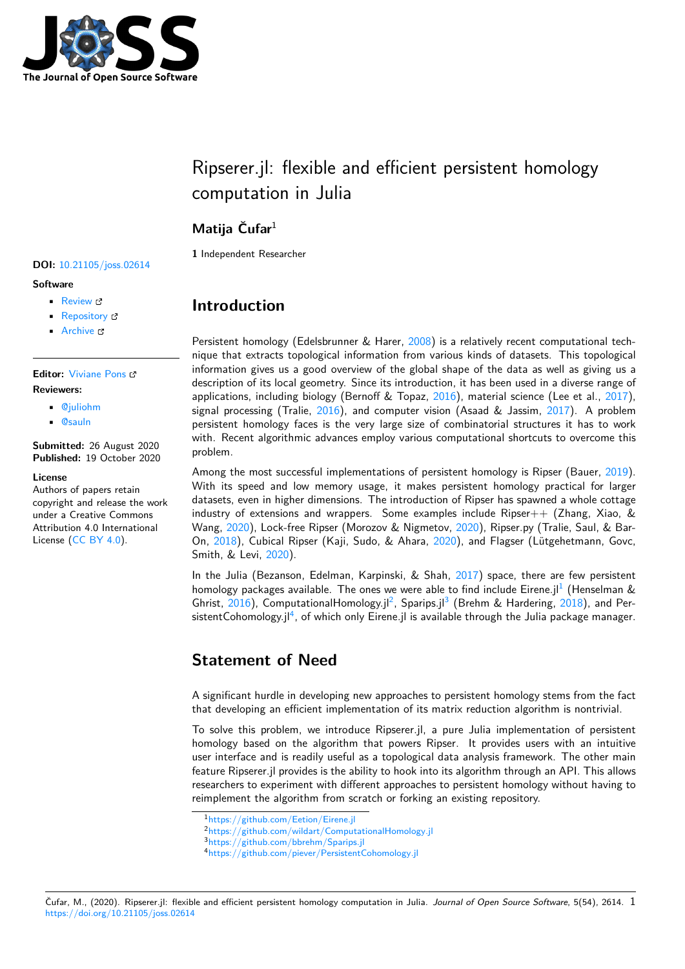

# Ripserer.jl: flexible and efficient persistent homology computation in Julia

### **Matija Čufar**<sup>1</sup>

**DOI:** 10.21105/joss.02614

**Software**

- Review L'
- [Repository](https://doi.org/10.21105/joss.02614) &
- Archive

**Editor:** [Viviane P](https://github.com/mtsch/Ripserer.jl)ons **Revie[wers:](https://doi.org/10.5281/zenodo.4081109)**

- @juliohm
- @[sauln](https://www.lri.fr/~pons/en/)

**Submitted:** 26 August 2020 **Publi[shed:](https://github.com/juliohm)** 19 October 2020

#### **Licen[se](https://github.com/sauln)**

Authors of papers retain copyright and release the work under a Creative Commons Attribution 4.0 International License (CC BY 4.0).

#### **1** Independent Researcher

### **Introduction**

Persistent homology (Edelsbrunner & Harer, 2008) is a relatively recent computational technique that extracts topological information from various kinds of datasets. This topological information gives us a good overview of the global shape of the data as well as giving us a description of its local geometry. Since its introduction, it has been used in a diverse range of applications, including biology (Bernoff & T[opaz,](#page-2-0) 2016), material science (Lee et al., 2017), signal processing (Tralie,  $2016$ ), and computer vision (Asaad & Jassim,  $2017$ ). A problem persistent homology faces is the very large size of combinatorial structures it has to work with. Recent algorithmic advances employ various computational shortcuts to overcome this problem.

Among the most successf[ul imp](#page-2-1)lementations of persistent homology is Ri[pser \(](#page-2-2)Bauer, 2019). With its speed and low memory usage, it makes persistent homology practical for larger datasets, even in higher dimensions. The introduction of Ripser has spawned a whole cottage industry of extensions and wrappers. Some examples include Ripser $++$  (Zhang, Xiao, & Wang, 2020), Lock-free Ripser (Morozov & Nigmetov, 2020), Ripser.py (Tralie, Saul, [& Ba](#page-2-3)r-On, 2018), Cubical Ripser (Kaji, Sudo, & Ahara, 2020), and Flagser (Lütgehetmann, Govc, Smith, & Levi, 2020).

In the Julia (Bezanson, Edelman, Karpinski, & Shah, 2017) space, there are few persistent hom[olo](#page-2-5)[gy pa](#page-3-0)ckages available. The ones we were a[ble to](#page-2-6) [find](#page-2-4) include Eirene.jl<sup>1</sup> (Henselman & Ghrist,  $2016$ ), ComputationalHomology.jl<sup>2</sup>, Sparips.jl<sup>3</sup> (Brehm & Hardering, 2018), and PersistentCohomol[ogy.jl](#page-2-7) $^4$ , of which only Eirene.jl is available through the Julia package manager.

## **Stat[eme](#page-2-8)nt o[f](#page-0-0) Need**

A significant hurdle in developing new approaches to persistent homology stems from the fact that developing an efficient implementation of its matrix reduction algorithm is nontrivial.

To solve this problem, we introduce Ripserer.jl, a pure Julia implementation of persistent homology based on the algorithm that powers Ripser. It provides users with an intuitive user interface and is readily useful as a topological data analysis framework. The other main feature Ripserer.jl provides is the ability to hook into its algorithm through an API. This allows researchers to experiment with different approaches to persistent homology without having to reimplement the algorithm from scratch or forking an existing repository.

<sup>1</sup>https://github.com/Eetion/Eirene.jl

<sup>2</sup>https://github.com/wildart/ComputationalHomology.jl

<sup>3</sup>https://github.com/bbrehm/Sparips.jl

<span id="page-0-0"></span><sup>4</sup>https://github.com/piever/PersistentCohomology.jl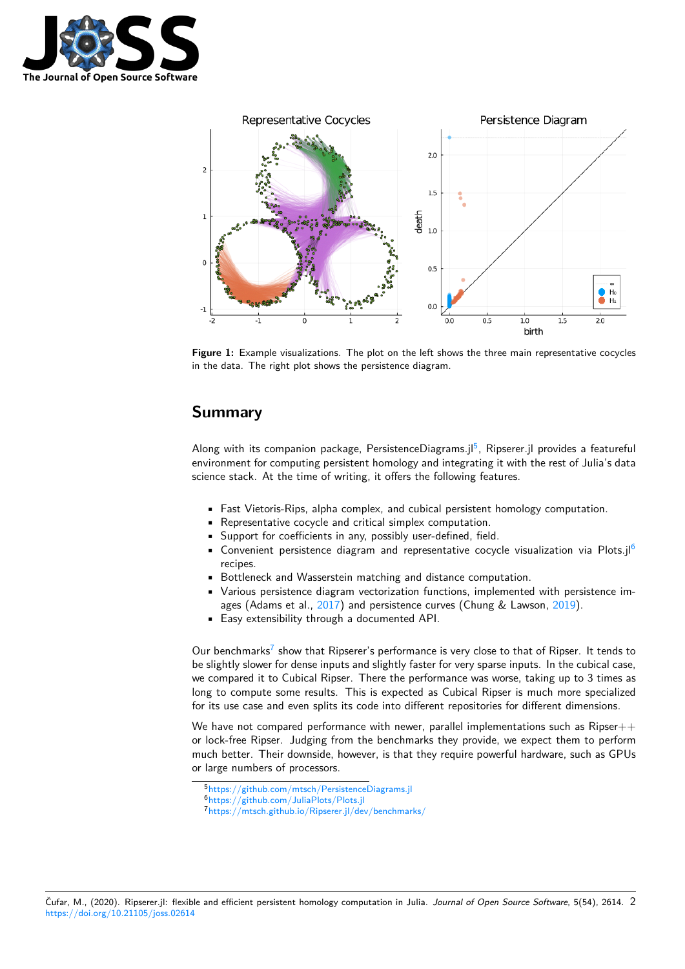



**Figure 1:** Example visualizations. The plot on the left shows the three main representative cocycles in the data. The right plot shows the persistence diagram.

#### **Summary**

Along with its companion package, PersistenceDiagrams.jl<sup>5</sup>, Ripserer.jl provides a featureful environment for computing persistent homology and integrating it with the rest of Julia's data science stack. At the time of writing, it offers the following features.

- Fast Vietoris-Rips, alpha complex, and cubical persis[te](#page-1-0)nt homology computation.
- Representative cocycle and critical simplex computation.
- Support for coefficients in any, possibly user-defined, field.
- Convenient persistence diagram and representative cocycle visualization via Plots.jl<sup>6</sup> recipes.
- Bottleneck and Wasserstein matching and distance computation.
- Various persistence diagram vectorization functions, implemented with persistence images (Adams et al., 2017) and persistence curves (Chung & Lawson, 2019).
- Easy extensibility through a documented API.

Our benchmarks<sup>7</sup> show that Ripserer's performance is very close to that of Ripser. It tends to be slightly slower for dense [inpu](#page-2-9)ts and slightly faster for very sparse inputs. I[n the](#page-2-10) cubical case, we compared it to Cubical Ripser. There the performance was worse, taking up to 3 times as long to compute some results. This is expected as Cubical Ripser is much more specialized for its use case [an](#page-1-1)d even splits its code into different repositories for different dimensions.

We have not compared performance with newer, parallel implementations such as Ripser $++$ or lock-free Ripser. Judging from the benchmarks they provide, we expect them to perform much better. Their downside, however, is that they require powerful hardware, such as GPUs or large numbers of processors.

<sup>5</sup>https://github.com/mtsch/PersistenceDiagrams.jl

<sup>6</sup>https://github.com/JuliaPlots/Plots.jl

<span id="page-1-1"></span><span id="page-1-0"></span><sup>7</sup>https://mtsch.github.io/Ripserer.jl/dev/benchmarks/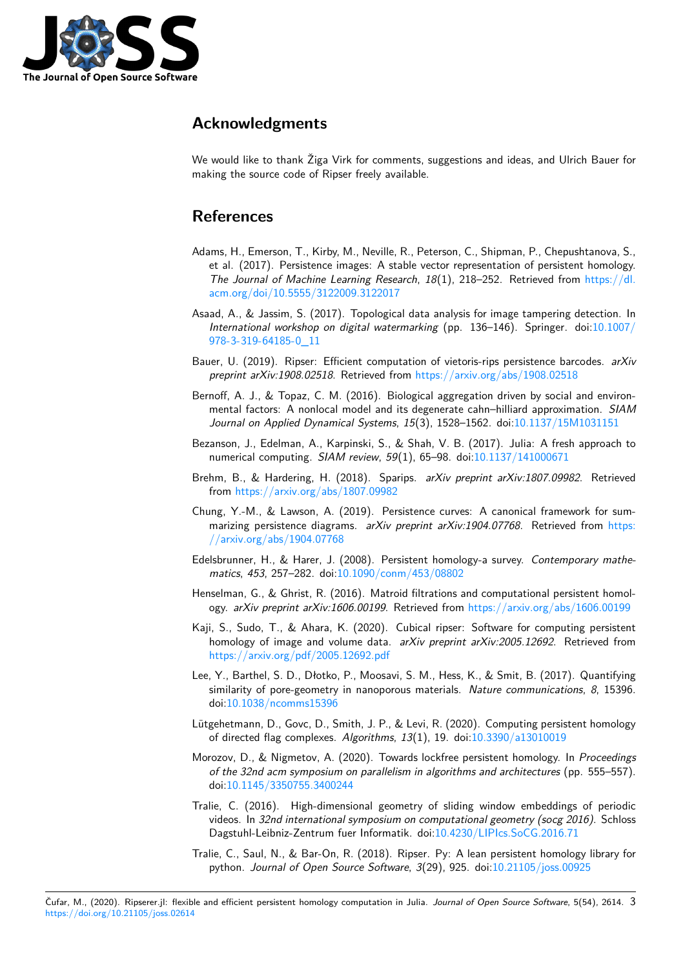

#### **Acknowledgments**

We would like to thank Žiga Virk for comments, suggestions and ideas, and Ulrich Bauer for making the source code of Ripser freely available.

#### **References**

- Adams, H., Emerson, T., Kirby, M., Neville, R., Peterson, C., Shipman, P., Chepushtanova, S., et al. (2017). Persistence images: A stable vector representation of persistent homology. *The Journal of Machine Learning Research*, *18*(1), 218–252. Retrieved from https://dl. acm.org/doi/10.5555/3122009.3122017
- <span id="page-2-9"></span>Asaad, A., & Jassim, S. (2017). Topological data analysis for image tampering detection. In *International workshop on digital watermarking* (pp. 136–146). Springer. d[oi:10.1007/](https://dl.acm.org/doi/10.5555/3122009.3122017) [978-3-319-64185-0\\_11](https://dl.acm.org/doi/10.5555/3122009.3122017)
- Bauer, U. (2019). Ripser: Efficient computation of vietoris-rips persistence barcodes. *arXiv preprint arXiv:1908.02518*. Retrieved from https://arxiv.org/abs/1908.02518
- <span id="page-2-2"></span>Ber[noff, A. J., & Topaz, C](https://doi.org/10.1007/978-3-319-64185-0_11). M. (2016). Biological aggregation driven by social an[d environ](https://doi.org/10.1007/978-3-319-64185-0_11)mental factors: A nonlocal model and its degenerate cahn–hilliard approximation. *SIAM Journal on Applied Dynamical Systems*, *15*[\(3\), 1528–1562. doi:10.1137/15M](https://arxiv.org/abs/1908.02518)1031151
- <span id="page-2-3"></span>Bezanson, J., Edelman, A., Karpinski, S., & Shah, V. B. (2017). Julia: A fresh approach to numerical computing. *SIAM review*, *59*(1), 65–98. doi:10.1137/141000671
- Brehm, B., & Hardering, H. (2018). Sparips. *arXiv preprint arX[iv:1807.09982](https://doi.org/10.1137/15M1031151)*. Retrieved from https://arxiv.org/abs/1807.09982
- Chung, Y.-M., & Lawson, A. (2019). Persistence curves: [A canonical framew](https://doi.org/10.1137/141000671)ork for summarizing persistence diagrams. *arXiv preprint arXiv:1904.07768*. Retrieved from https: //ar[xiv.org/abs/1904.07768](https://arxiv.org/abs/1807.09982)
- Edelsbrunner, H., & Harer, J. (2008). Persistent homology-a survey. *Contemporary mathematics*, *453*, 257–282. doi:10.1090/conm/453/08802
- <span id="page-2-10"></span>He[nselman, G., & Ghrist, R. \(20](https://arxiv.org/abs/1904.07768)16). Matroid filtrations and computational persistent [homol](https://arxiv.org/abs/1904.07768)ogy. *arXiv preprint arXiv:1606.00199*. Retrieved from https://arxiv.org/abs/1606.00199
- <span id="page-2-0"></span>Kaji, S., Sudo, T., & Ahara, [K. \(2020\). Cubical ripser:](https://doi.org/10.1090/conm/453/08802) Software for computing persistent homology of image and volume data. *arXiv preprint arXiv:2005.12692*. Retrieved from https://arxiv.org/pdf/2005.12692.pdf
- <span id="page-2-8"></span><span id="page-2-6"></span>Lee, Y., Barthel, S. D., Dłotko, P., Moosavi, S. M., Hess, [K., & Smit, B. \(2017\). Quantifying](https://arxiv.org/abs/1606.00199) similarity of pore-geometry in nanoporous materials. *Nature communications*, *8*, 15396. [doi:10.1038/ncomms15396](https://arxiv.org/pdf/2005.12692.pdf)
- Lütgehetmann, D., Govc, D., Smith, J. P., & Levi, R. (2020). Computing persistent homology of directed flag complexes. *Algorithms*, *13*(1), 19. doi:10.3390/a13010019
- Moroz[ov, D., & Nigmetov, A.](https://doi.org/10.1038/ncomms15396) (2020). Towards lockfree persistent homology. In *Proceedings of the 32nd acm symposium on parallelism in algorithms and architectures* (pp. 555–557). doi:10.1145/3350755.3400244
- <span id="page-2-7"></span><span id="page-2-4"></span>Tralie, C. (2016). High-dimensional geometry of slidin[g window embeddin](https://doi.org/10.3390/a13010019)gs of periodic videos. In *32nd international symposium on computational geometry (socg 2016)*. Schloss Da[gstuhl-Leibniz-Zentrum fuer](https://doi.org/10.1145/3350755.3400244) Informatik. doi:10.4230/LIPIcs.SoCG.2016.71
- <span id="page-2-5"></span><span id="page-2-1"></span>Tralie, C., Saul, N., & Bar-On, R. (2018). Ripser. Py: A lean persistent homology library for python. *Journal of Open Source Software*, *3*(29), 925. doi:10.21105/joss.00925